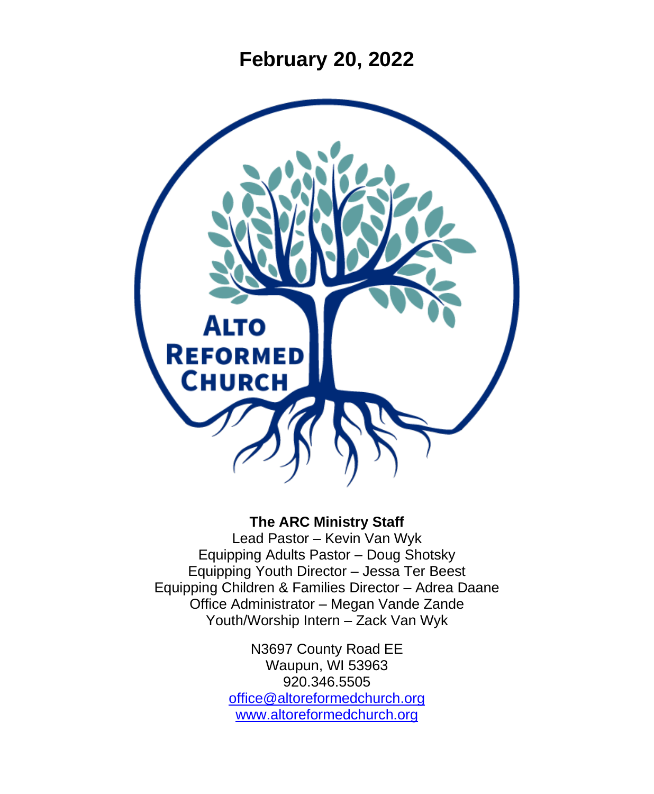**February 20, 2022**



#### **The ARC Ministry Staff**

Lead Pastor – Kevin Van Wyk Equipping Adults Pastor – Doug Shotsky Equipping Youth Director – Jessa Ter Beest Equipping Children & Families Director – Adrea Daane Office Administrator – Megan Vande Zande Youth/Worship Intern – Zack Van Wyk

> N3697 County Road EE Waupun, WI 53963 920.346.5505 [office@altoreformedchurch.org](mailto:office@altoreformedchurch.org) [www.altoreformedchurch.org](http://www.altoreformedchurch.org/)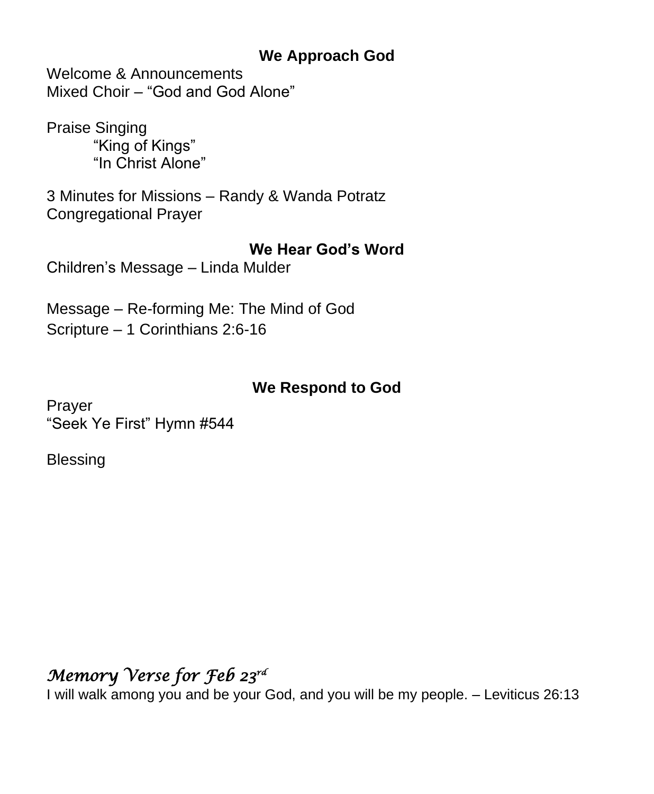### **We Approach God**

Welcome & Announcements Mixed Choir – "God and God Alone"

Praise Singing "King of Kings" "In Christ Alone"

3 Minutes for Missions – Randy & Wanda Potratz Congregational Prayer

#### **We Hear God's Word**

Children's Message – Linda Mulder

Message – Re-forming Me: The Mind of God Scripture – 1 Corinthians 2:6-16

## **We Respond to God**

Prayer "Seek Ye First" Hymn #544

**Blessing** 

# *Memory Verse for Feb 23rd*

I will walk among you and be your God, and you will be my people. – Leviticus 26:13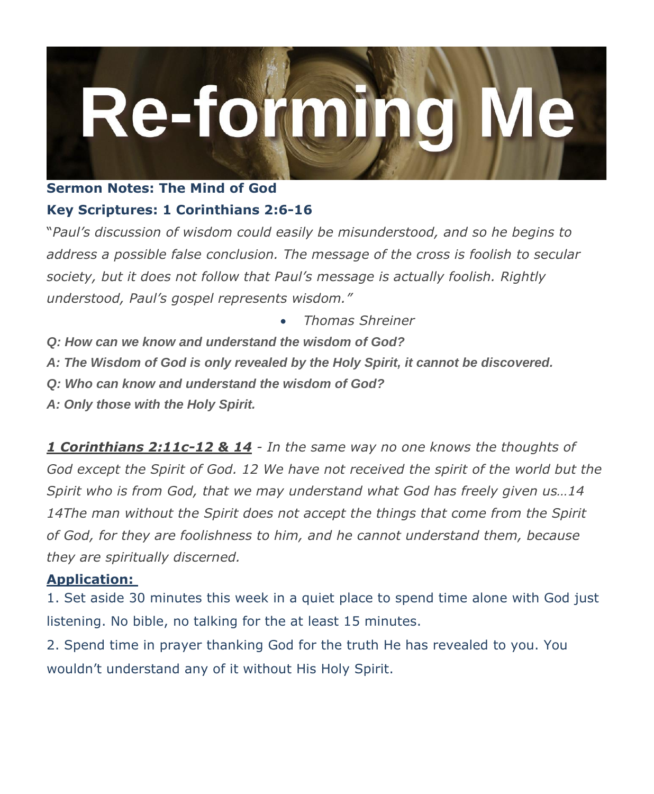

#### **Sermon Notes: The Mind of God Key Scriptures: 1 Corinthians 2:6-16**

"*Paul's discussion of wisdom could easily be misunderstood, and so he begins to address a possible false conclusion. The message of the cross is foolish to secular society, but it does not follow that Paul's message is actually foolish. Rightly understood, Paul's gospel represents wisdom."*

- *Thomas Shreiner*
- *Q: How can we know and understand the wisdom of God?*
- *A: The Wisdom of God is only revealed by the Holy Spirit, it cannot be discovered.*
- *Q: Who can know and understand the wisdom of God?*
- *A: Only those with the Holy Spirit.*

*1 Corinthians 2:11c-12 & 14 - In the same way no one knows the thoughts of God except the Spirit of God. 12 We have not received the spirit of the world but the Spirit who is from God, that we may understand what God has freely given us…14 14The man without the Spirit does not accept the things that come from the Spirit of God, for they are foolishness to him, and he cannot understand them, because they are spiritually discerned.*

#### **Application:**

1. Set aside 30 minutes this week in a quiet place to spend time alone with God just listening. No bible, no talking for the at least 15 minutes.

2. Spend time in prayer thanking God for the truth He has revealed to you. You wouldn't understand any of it without His Holy Spirit.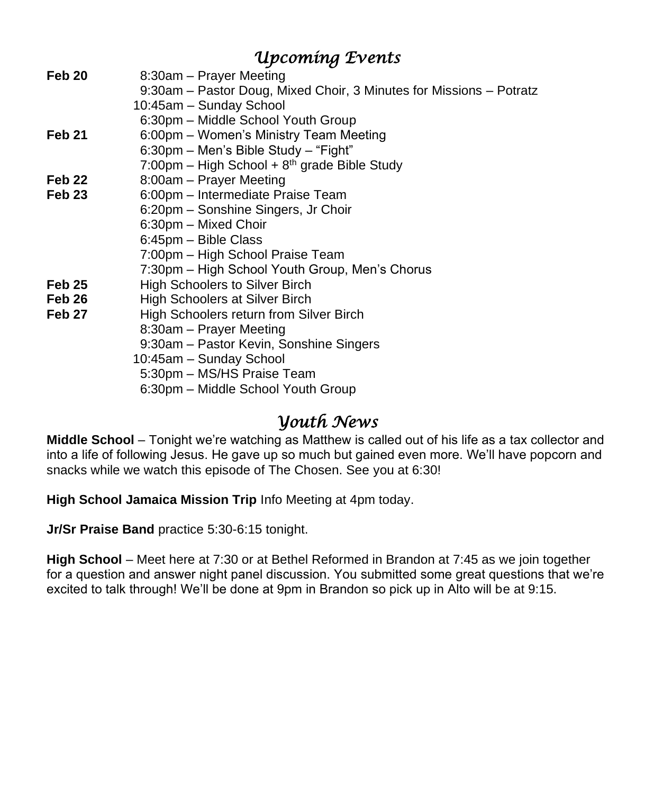## *Upcoming Events*

| 8:30am – Prayer Meeting                                             |
|---------------------------------------------------------------------|
| 9:30am - Pastor Doug, Mixed Choir, 3 Minutes for Missions - Potratz |
| 10:45am - Sunday School                                             |
| 6:30pm - Middle School Youth Group                                  |
| 6:00pm – Women's Ministry Team Meeting                              |
| 6:30pm - Men's Bible Study - "Fight"                                |
| 7:00pm – High School + $8th$ grade Bible Study                      |
| 8:00am - Prayer Meeting                                             |
| 6:00pm - Intermediate Praise Team                                   |
| 6:20pm - Sonshine Singers, Jr Choir                                 |
| 6:30pm - Mixed Choir                                                |
| 6:45pm - Bible Class                                                |
| 7:00pm - High School Praise Team                                    |
| 7:30pm - High School Youth Group, Men's Chorus                      |
| <b>High Schoolers to Silver Birch</b>                               |
| High Schoolers at Silver Birch                                      |
| High Schoolers return from Silver Birch                             |
| 8:30am - Prayer Meeting                                             |
| 9:30am - Pastor Kevin, Sonshine Singers                             |
| 10:45am - Sunday School                                             |
| 5:30pm - MS/HS Praise Team                                          |
| 6:30pm – Middle School Youth Group                                  |
|                                                                     |

### *Youth News*

**Middle School** – Tonight we're watching as Matthew is called out of his life as a tax collector and into a life of following Jesus. He gave up so much but gained even more. We'll have popcorn and snacks while we watch this episode of The Chosen. See you at 6:30!

**High School Jamaica Mission Trip** Info Meeting at 4pm today.

**Jr/Sr Praise Band** practice 5:30-6:15 tonight.

**High School** – Meet here at 7:30 or at Bethel Reformed in Brandon at 7:45 as we join together for a question and answer night panel discussion. You submitted some great questions that we're excited to talk through! We'll be done at 9pm in Brandon so pick up in Alto will be at 9:15.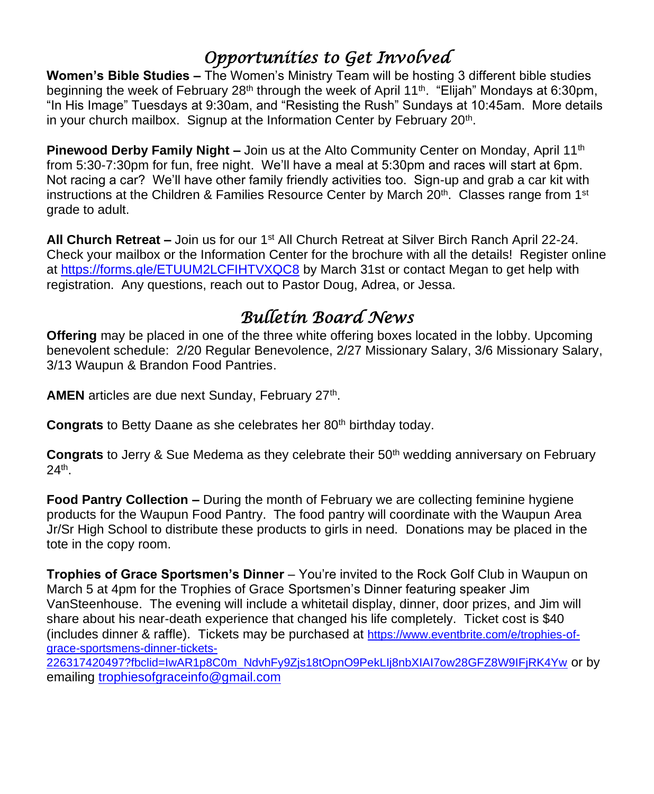# *Opportunities to Get Involved*

**Women's Bible Studies –** The Women's Ministry Team will be hosting 3 different bible studies beginning the week of February 28<sup>th</sup> through the week of April 11<sup>th</sup>. "Elijah" Mondays at 6:30pm, "In His Image" Tuesdays at 9:30am, and "Resisting the Rush" Sundays at 10:45am. More details in your church mailbox. Signup at the Information Center by February 20<sup>th</sup>.

**Pinewood Derby Family Night –** Join us at the Alto Community Center on Monday, April 11<sup>th</sup> from 5:30-7:30pm for fun, free night. We'll have a meal at 5:30pm and races will start at 6pm. Not racing a car? We'll have other family friendly activities too. Sign-up and grab a car kit with instructions at the Children & Families Resource Center by March 20<sup>th</sup>. Classes range from 1<sup>st</sup> grade to adult.

**All Church Retreat –** Join us for our 1st All Church Retreat at Silver Birch Ranch April 22-24. Check your mailbox or the Information Center for the brochure with all the details! Register online at<https://forms.gle/ETUUM2LCFIHTVXQC8> by March 31st or contact Megan to get help with registration. Any questions, reach out to Pastor Doug, Adrea, or Jessa.

# *Bulletin Board News*

**Offering** may be placed in one of the three white offering boxes located in the lobby. Upcoming benevolent schedule: 2/20 Regular Benevolence, 2/27 Missionary Salary, 3/6 Missionary Salary, 3/13 Waupun & Brandon Food Pantries.

AMEN articles are due next Sunday, February 27<sup>th</sup>.

**Congrats** to Betty Daane as she celebrates her 80<sup>th</sup> birthday today.

**Congrats** to Jerry & Sue Medema as they celebrate their 50<sup>th</sup> wedding anniversary on February 24th .

**Food Pantry Collection –** During the month of February we are collecting feminine hygiene products for the Waupun Food Pantry. The food pantry will coordinate with the Waupun Area Jr/Sr High School to distribute these products to girls in need. Donations may be placed in the tote in the copy room.

**Trophies of Grace Sportsmen's Dinner** – You're invited to the Rock Golf Club in Waupun on March 5 at 4pm for the Trophies of Grace Sportsmen's Dinner featuring speaker Jim VanSteenhouse. The evening will include a whitetail display, dinner, door prizes, and Jim will share about his near-death experience that changed his life completely. Ticket cost is \$40 (includes dinner & raffle). Tickets may be purchased at [https://www.eventbrite.com/e/trophies-of](https://www.eventbrite.com/e/trophies-of-grace-sportsmens-dinner-tickets-226317420497?fbclid=IwAR1p8C0m_NdvhFy9Zjs18tOpnO9PekLIj8nbXIAI7ow28GFZ8W9IFjRK4Yw)[grace-sportsmens-dinner-tickets-](https://www.eventbrite.com/e/trophies-of-grace-sportsmens-dinner-tickets-226317420497?fbclid=IwAR1p8C0m_NdvhFy9Zjs18tOpnO9PekLIj8nbXIAI7ow28GFZ8W9IFjRK4Yw)

[226317420497?fbclid=IwAR1p8C0m\\_NdvhFy9Zjs18tOpnO9PekLIj8nbXIAI7ow28GFZ8W9IFjRK4Yw](https://www.eventbrite.com/e/trophies-of-grace-sportsmens-dinner-tickets-226317420497?fbclid=IwAR1p8C0m_NdvhFy9Zjs18tOpnO9PekLIj8nbXIAI7ow28GFZ8W9IFjRK4Yw) or by emailing [trophiesofgraceinfo@gmail.com](mailto:trophiesofgraceinfo@gmail.com)